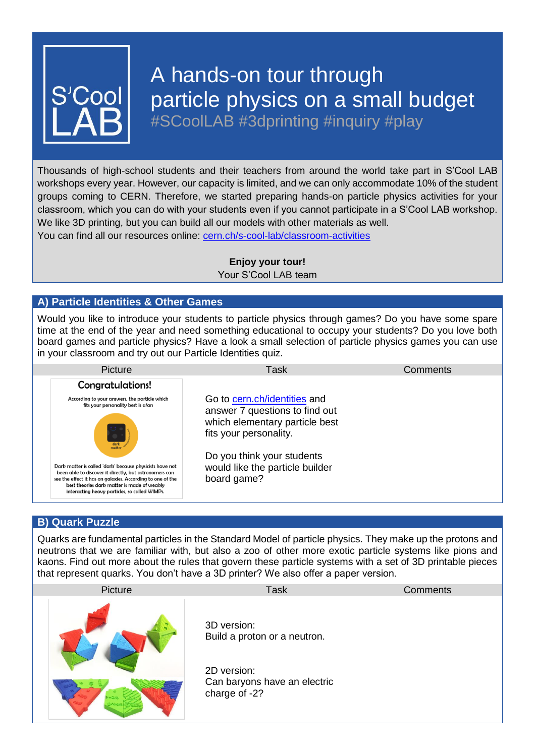

# A hands-on tour through particle physics on a small budget

#SCoolLAB #3dprinting #inquiry #play

Thousands of high-school students and their teachers from around the world take part in S'Cool LAB workshops every year. However, our capacity is limited, and we can only accommodate 10% of the student groups coming to CERN. Therefore, we started preparing hands-on particle physics activities for your classroom, which you can do with your students even if you cannot participate in a S'Cool LAB workshop. We like 3D printing, but you can build all our models with other materials as well. You can find all our resources online: [cern.ch/s-cool-lab/](https://cern.ch/scool/classroom-activities)classroom-activities

> **Enjoy your tour!** Your S'Cool LAB team

# **A) Particle Identities & Other Games**

Would you like to introduce your students to particle physics through games? Do you have some spare time at the end of the year and need something educational to occupy your students? Do you love both board games and particle physics? Have a look a small selection of particle physics games you can use in your classroom and try out our Particle Identities quiz.

| Picture                                                                                                                                                                                                                                                                          | Task                                                                                                                       | Comments |
|----------------------------------------------------------------------------------------------------------------------------------------------------------------------------------------------------------------------------------------------------------------------------------|----------------------------------------------------------------------------------------------------------------------------|----------|
| Congratulations!                                                                                                                                                                                                                                                                 |                                                                                                                            |          |
| According to your answers, the particle which<br>fits your personality best is a/an<br>dark<br>matter                                                                                                                                                                            | Go to cern.ch/identities and<br>answer 7 questions to find out<br>which elementary particle best<br>fits your personality. |          |
| Dark matter is called 'dark' because physicists have not<br>been able to discover it directly, but astronomers can<br>see the effect it has on galaxies. According to one of the<br>best theories dark matter is made of weakly<br>interacting heavy particles, so called WIMPs. | Do you think your students<br>would like the particle builder<br>board game?                                               |          |

## **B) Quark Puzzle**

Quarks are fundamental particles in the Standard Model of particle physics. They make up the protons and neutrons that we are familiar with, but also a zoo of other more exotic particle systems like pions and kaons. Find out more about the rules that govern these particle systems with a set of 3D printable pieces that represent quarks. You don't have a 3D printer? We also offer a paper version.

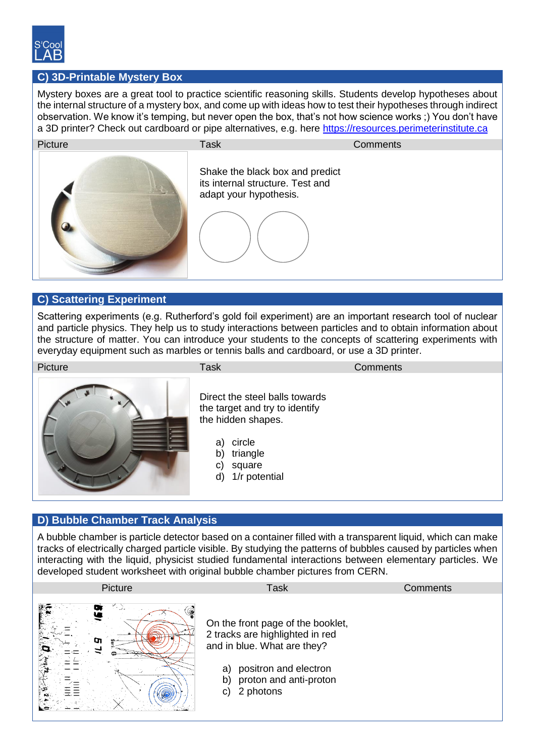

# **C) 3D-Printable Mystery Box**

Mystery boxes are a great tool to practice scientific reasoning skills. Students develop hypotheses about the internal structure of a mystery box, and come up with ideas how to test their hypotheses through indirect observation. We know it's temping, but never open the box, that's not how science works ;) You don't have a 3D printer? Check out cardboard or pipe alternatives, e.g. here [https://resources.perimeterinstitute.ca](https://resources.perimeterinstitute.ca/)



#### **C) Scattering Experiment**

Scattering experiments (e.g. Rutherford's gold foil experiment) are an important research tool of nuclear and particle physics. They help us to study interactions between particles and to obtain information about the structure of matter. You can introduce your students to the concepts of scattering experiments with everyday equipment such as marbles or tennis balls and cardboard, or use a 3D printer.

Picture **Task Comments** Comments



Direct the steel balls towards the target and try to identify the hidden shapes.

- a) circle
- b) triangle
- c) square
- d) 1/r potential

#### **D) Bubble Chamber Track Analysis**

A bubble chamber is particle detector based on a container filled with a transparent liquid, which can make tracks of electrically charged particle visible. By studying the patterns of bubbles caused by particles when interacting with the liquid, physicist studied fundamental interactions between elementary particles. We developed student worksheet with original bubble chamber pictures from CERN.

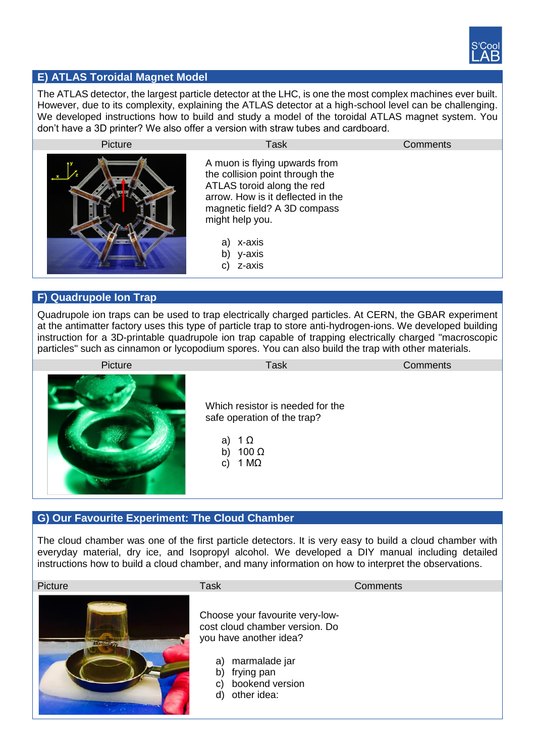

# **E) ATLAS Toroidal Magnet Model**

The ATLAS detector, the largest particle detector at the LHC, is one the most complex machines ever built. However, due to its complexity, explaining the ATLAS detector at a high-school level can be challenging. We developed instructions how to build and study a model of the toroidal ATLAS magnet system. You don't have a 3D printer? We also offer a version with straw tubes and cardboard.



#### **F) Quadrupole Ion Trap**

Quadrupole ion traps can be used to trap electrically charged particles. At CERN, the GBAR experiment at the antimatter factory uses this type of particle trap to store anti-hydrogen-ions. We developed building instruction for a 3D-printable quadrupole ion trap capable of trapping electrically charged "macroscopic particles" such as cinnamon or lycopodium spores. You can also build the trap with other materials.



## **G) Our Favourite Experiment: The Cloud Chamber**

The cloud chamber was one of the first particle detectors. It is very easy to build a cloud chamber with everyday material, dry ice, and Isopropyl alcohol. We developed a DIY manual including detailed instructions how to build a cloud chamber, and many information on how to interpret the observations.

| Picture              | Task                                                                                                                                                                                 | Comments |
|----------------------|--------------------------------------------------------------------------------------------------------------------------------------------------------------------------------------|----------|
| <b>Little Little</b> | Choose your favourite very-low-<br>cost cloud chamber version. Do<br>you have another idea?<br>marmalade jar<br>a)<br>frying pan<br>b)<br>bookend version<br>C)<br>other idea:<br>d) |          |